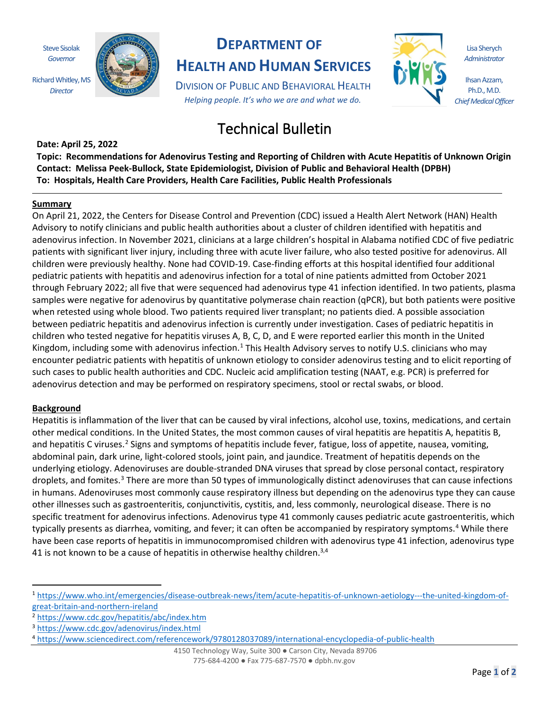Steve Sisolak *Governor*

Richard Whitley, MS *Director*



# **DEPARTMENT OF**

**HEALTH AND HUMAN SERVICES**

DIVISION OF PUBLIC AND BEHAVIORAL HEALTH *Helping people. It's who we are and what we do.*



Lisa Sherych *Administrator*

Ihsan Azzam, Ph.D., M.D. *Chief Medical Officer*

# Technical Bulletin

**Date: April 25, 2022 Topic: Recommendations for Adenovirus Testing and Reporting of Children with Acute Hepatitis of Unknown Origin Contact: Melissa Peek-Bullock, State Epidemiologist, Division of Public and Behavioral Health (DPBH) To: Hospitals, Health Care Providers, Health Care Facilities, Public Health Professionals**

#### **Summary**

On April 21, 2022, the Centers for Disease Control and Prevention (CDC) issued a Health Alert Network (HAN) Health Advisory to notify clinicians and public health authorities about a cluster of children identified with hepatitis and adenovirus infection. In November 2021, clinicians at a large children's hospital in Alabama notified CDC of five pediatric patients with significant liver injury, including three with acute liver failure, who also tested positive for adenovirus. All children were previously healthy. None had COVID-19. Case-finding efforts at this hospital identified four additional pediatric patients with hepatitis and adenovirus infection for a total of nine patients admitted from October 2021 through February 2022; all five that were sequenced had adenovirus type 41 infection identified. In two patients, plasma samples were negative for adenovirus by quantitative polymerase chain reaction (qPCR), but both patients were positive when retested using whole blood. Two patients required liver transplant; no patients died. A possible association between pediatric hepatitis and adenovirus infection is currently under investigation. Cases of pediatric hepatitis in children who tested negative for hepatitis viruses A, B, C, D, and E were reported earlier this month in the United Kingdom, including some with adenovirus infection.<sup>[1](#page-0-0)</sup> This Health Advisory serves to notify U.S. clinicians who may encounter pediatric patients with hepatitis of unknown etiology to consider adenovirus testing and to elicit reporting of such cases to public health authorities and CDC. Nucleic acid amplification testing (NAAT, e.g. PCR) is preferred for adenovirus detection and may be performed on respiratory specimens, stool or rectal swabs, or blood.

#### **Background**

Hepatitis is inflammation of the liver that can be caused by viral infections, alcohol use, toxins, medications, and certain other medical conditions. In the United States, the most common causes of viral hepatitis are hepatitis A, hepatitis B, and hepatitis C viruses.<sup>[2](#page-0-1)</sup> Signs and symptoms of hepatitis include fever, fatigue, loss of appetite, nausea, vomiting, abdominal pain, dark urine, light-colored stools, joint pain, and jaundice. Treatment of hepatitis depends on the underlying etiology. Adenoviruses are double-stranded DNA viruses that spread by close personal contact, respiratory droplets, and fomites.<sup>[3](#page-0-2)</sup> There are more than 50 types of immunologically distinct adenoviruses that can cause infections in humans. Adenoviruses most commonly cause respiratory illness but depending on the adenovirus type they can cause other illnesses such as gastroenteritis, conjunctivitis, cystitis, and, less commonly, neurological disease. There is no specific treatment for adenovirus infections. Adenovirus type 41 commonly causes pediatric acute gastroenteritis, which typically presents as diarrhea, vomiting, and fever; it can often be accompanied by respiratory symptoms. [4](#page-0-3) While there have been case reports of hepatitis in immunocompromised children with adenovirus type 41 infection, adenovirus type 41 is not known to be a cause of hepatitis in otherwise healthy children.<sup>3,4</sup>

<span id="page-0-0"></span><sup>1</sup> [https://www.who.int/emergencies/disease-outbreak-news/item/acute-hepatitis-of-unknown-aetiology---the-united-kingdom-of](https://www.who.int/emergencies/disease-outbreak-news/item/acute-hepatitis-of-unknown-aetiology---the-united-kingdom-of-great-britain-and-northern-ireland)[great-britain-and-northern-ireland](https://www.who.int/emergencies/disease-outbreak-news/item/acute-hepatitis-of-unknown-aetiology---the-united-kingdom-of-great-britain-and-northern-ireland)

<span id="page-0-1"></span><sup>2</sup> <https://www.cdc.gov/hepatitis/abc/index.htm>

<span id="page-0-2"></span><sup>3</sup> https://www.cdc.gov/[adenovirus/index.html](https://www.cdc.gov/adenovirus/index.html)

<span id="page-0-3"></span><sup>4</sup> <https://www.sciencedirect.com/referencework/9780128037089/international-encyclopedia-of-public-health>

<sup>4150</sup> Technology Way, Suite 300 ● Carson City, Nevada 89706 775-684-4200 ● Fax 775-687-7570 ● dpbh.nv.gov